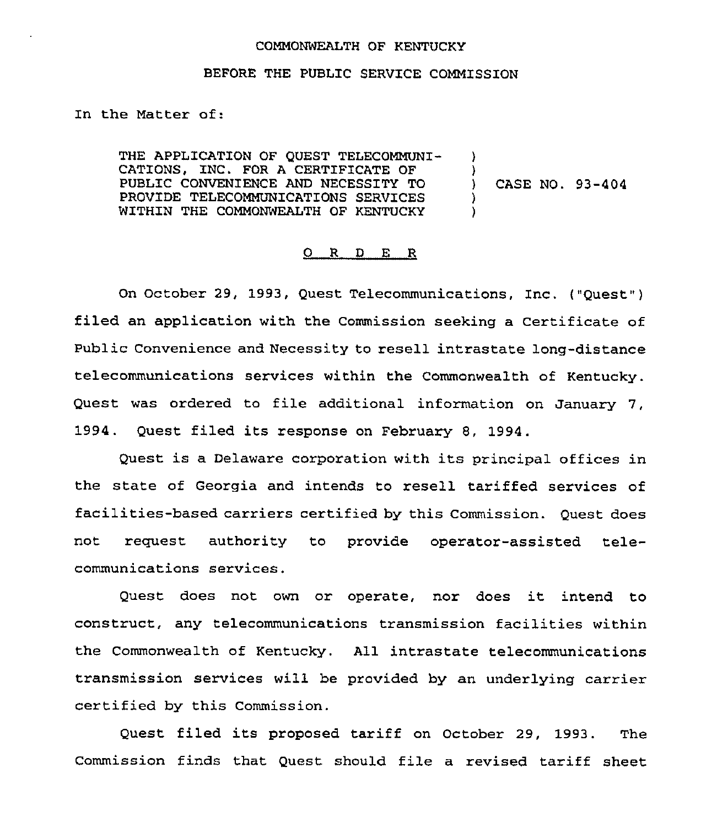## COMMONWEALTH OF KENTUCKY

## BEFORE THE PUBLIC SERVICE COMMISSION

In the Matter of:

THE APPLICATION OF QUEST TELECOMMUNI-CATIONS, INC. FOR A CERTIFICATE OF PUBLIC CONVENIENCE AND NECESSITY TO PROVIDE TELECOMMUNICATIONS SERVICES WITHIN THE COMMONWEALTH OF KENTUCKY ) ) ) CASE NO. 93-404 ) )

## 0 R <sup>D</sup> E R

On October 29, 1993, Quest Telecommunications, Inc. {"Quest") filed an application with the Commission seeking a Certificate of Public Convenience and Necessity to resell intrastate long-distance telecommunications services within the Commonwealth of Kentucky. Quest was ordered to file additional information on January 7, 1994. Quest filed its response on February 8, 1994.

Quest is a Delaware corporation with its principal offices in the state of Georgia and intends to resell tariffed services of facilities-based carriers certified by this Commission. Quest does not request authority to provide operator-assisted telecommunications services,

Quest does not own or operate, nor does it intend to construct, any telecommunications transmission facilities within the Commonwealth of Kentucky. All intrastate telecommunications transmission services will be provided by an underlying carrier certified by this Commission.

Quest filed its proposed tariff on October 29, 1993. The Commission finds that Quest should file a revised tariff sheet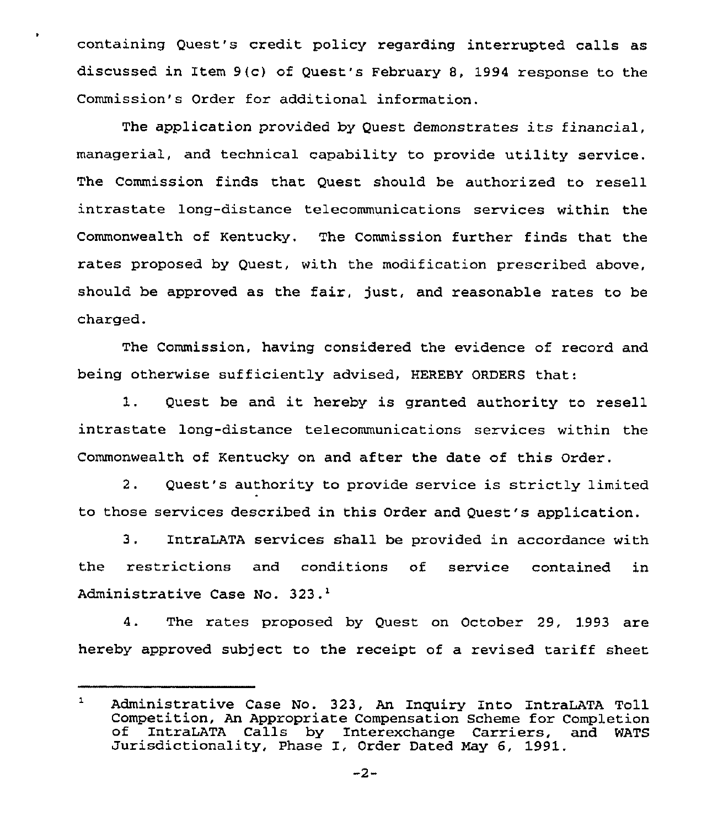containing Quest's credit policy regarding interrupted calls as discussed in Item 9(c) of Quest's February 8, 1994 response to the Commission's Order for additional information.

The application provided by Quest demonstrates its financial, managerial, and technical capability to provide utility service. The Commission finds that Quest should be authorized to resell intrastate long-distance telecommunications services within the Commonwealth of Kentucky. The Commission further finds that the rates proposed by Quest, with the modification prescribed above, should be approved as the fair, just, and reasonable rates to be charged.

The Commission, having considered the evidence of record and being otherwise sufficiently advised, HEREBY ORDERS that:

1. Quest be and it hereby is granted authority to resell intrastate long-distance telecommunications services within the Commonwealth of Kentucky on and after the date of this Order.

2. Quest's authority to provide service is strictly limited to those services described in this Order and Quest's application.

3. IntraLATA services shall be provided in accordance with the restrictions and conditions of service contained in Administrative Case No. 323.<sup>1</sup>

4. The rates proposed by Quest on October 29, 1993 are hereby approved subject to the receipt of a revised tariff sheet

 $\mathbf{1}$ Administrative Case No. 323, An Inquiry Into IntraLATA Toll of IntraLATA Calls by Interexchange Carriers, and WATS<br>Jurisdictionality, Phase I, Order Dated May 6, 1991.